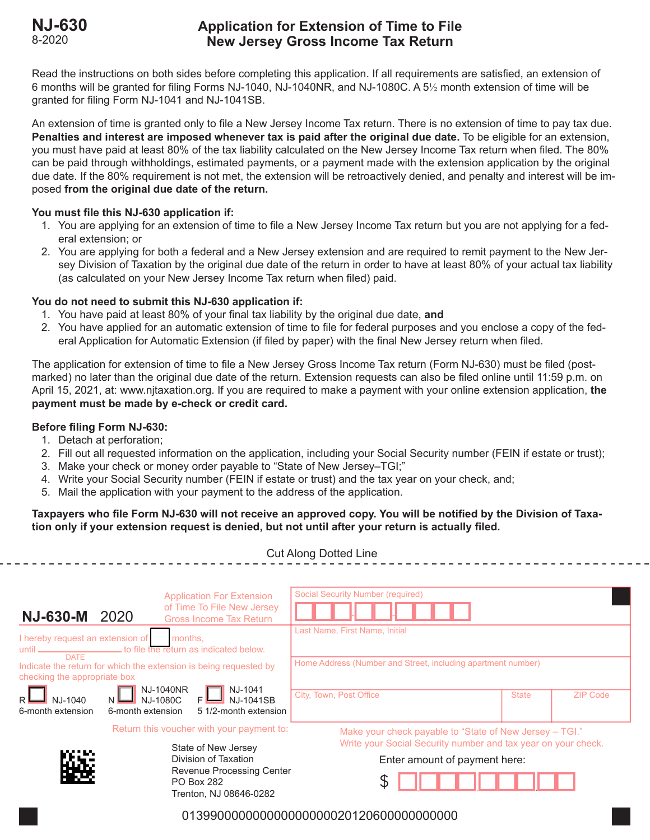# **NJ-630 Application for Extension of Time to File New Jersey Gross Income Tax Return**

Read the instructions on both sides before completing this application. If all requirements are satisfied, an extension of 6 months will be granted for filing Forms NJ-1040, NJ-1040NR, and NJ-1080C. A 5½ month extension of time will be granted for filing Form NJ-1041 and NJ-1041SB.

An extension of time is granted only to file a New Jersey Income Tax return. There is no extension of time to pay tax due. **Penalties and interest are imposed whenever tax is paid after the original due date.** To be eligible for an extension, you must have paid at least 80% of the tax liability calculated on the New Jersey Income Tax return when filed. The 80% can be paid through withholdings, estimated payments, or a payment made with the extension application by the original due date. If the 80% requirement is not met, the extension will be retroactively denied, and penalty and interest will be imposed **from the original due date of the return.**

# **You must file this NJ-630 application if:**

- 1. You are applying for an extension of time to file a New Jersey Income Tax return but you are not applying for a federal extension; or
- 2. You are applying for both a federal and a New Jersey extension and are required to remit payment to the New Jersey Division of Taxation by the original due date of the return in order to have at least 80% of your actual tax liability (as calculated on your New Jersey Income Tax return when filed) paid.

# **You do not need to submit this NJ-630 application if:**

- 1. You have paid at least 80% of your final tax liability by the original due date, **and**
- 2. You have applied for an automatic extension of time to file for federal purposes and you enclose a copy of the federal Application for Automatic Extension (if filed by paper) with the final New Jersey return when filed.

The application for extension of time to file a New Jersey Gross Income Tax return (Form NJ-630) must be filed (postmarked) no later than the original due date of the return. Extension requests can also be filed online until 11:59 p.m. on April 15, 2021, at: www.njtaxation.org. If you are required to make a payment with your online extension application, **the payment must be made by e-check or credit card.**

# **Before filing Form NJ-630:**

- 1. Detach at perforation;
- 2. Fill out all requested information on the application, including your Social Security number (FEIN if estate or trust);
- 3. Make your check or money order payable to "State of New Jersey–TGI;"
- 4. Write your Social Security number (FEIN if estate or trust) and the tax year on your check, and;
- 5. Mail the application with your payment to the address of the application.

### **Taxpayers who file Form NJ-630 will not receive an approved copy. You will be notified by the Division of Taxation only if your extension request is denied, but not until after your return is actually filed.**

Cut Along Dotted Line

|                                                                                                                | <b>Application For Extension</b>                                         |                                                              | <b>Social Security Number (required)</b>                                                                                                                  |              |                 |
|----------------------------------------------------------------------------------------------------------------|--------------------------------------------------------------------------|--------------------------------------------------------------|-----------------------------------------------------------------------------------------------------------------------------------------------------------|--------------|-----------------|
| <b>NJ-630-M</b>                                                                                                | 2020                                                                     | of Time To File New Jersey<br><b>Gross Income Tax Return</b> |                                                                                                                                                           |              |                 |
| I hereby request an extension of<br>months.<br>until <u>DATE</u> to file the return as indicated below.        |                                                                          |                                                              | Last Name, First Name, Initial                                                                                                                            |              |                 |
| Indicate the return for which the extension is being requested by<br>checking the appropriate box<br>NJ-1040NR |                                                                          |                                                              | Home Address (Number and Street, including apartment number)                                                                                              |              |                 |
| R<br>NJ-1040<br>6-month extension                                                                              | NJ-1080C<br>6-month extension                                            | NJ-1041<br><b>NJ-1041SB</b><br>5 1/2-month extension         | City, Town, Post Office                                                                                                                                   | <b>State</b> | <b>ZIP Code</b> |
|                                                                                                                |                                                                          | Return this voucher with your payment to:                    | Make your check payable to "State of New Jersey - TGI."<br>Write your Social Security number and tax year on your check.<br>Enter amount of payment here: |              |                 |
|                                                                                                                |                                                                          | State of New Jersey                                          |                                                                                                                                                           |              |                 |
|                                                                                                                |                                                                          | Division of Taxation                                         |                                                                                                                                                           |              |                 |
|                                                                                                                | Revenue Processing Center<br><b>PO Box 282</b><br>Trenton, NJ 08646-0282 |                                                              |                                                                                                                                                           |              |                 |
| 01399000000000000000000201206000000000000                                                                      |                                                                          |                                                              |                                                                                                                                                           |              |                 |